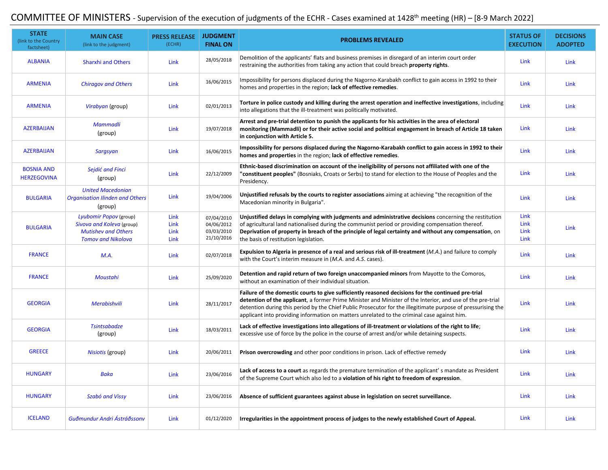## COMMITTEE OF MINISTERS - Supervision of the execution of judgments of the ECHR - Cases examined at 1428<sup>th</sup> meeting (HR) – [8-9 March 2022]

| <b>STATE</b><br>(link to the Country<br>factsheet) | <b>MAIN CASE</b><br>(link to the judgment)                                        | <b>PRESS RELEASE</b><br>(ECHR) | <b>JUDGMENT</b><br><b>FINAL ON</b>     | <b>PROBLEMS REVEALED</b>                                                                                                                                                                                                                                                                                                                                                                                                        | <b>STATUS OF</b><br><b>EXECUTION</b> | <b>DECISIONS</b><br><b>ADOPTED</b> |
|----------------------------------------------------|-----------------------------------------------------------------------------------|--------------------------------|----------------------------------------|---------------------------------------------------------------------------------------------------------------------------------------------------------------------------------------------------------------------------------------------------------------------------------------------------------------------------------------------------------------------------------------------------------------------------------|--------------------------------------|------------------------------------|
| <b>ALBANIA</b>                                     | <b>Sharxhi and Others</b>                                                         | Link                           | 28/05/2018                             | Demolition of the applicants' flats and business premises in disregard of an interim court order<br>restraining the authorities from taking any action that could breach <b>property rights</b> .                                                                                                                                                                                                                               | Link                                 | Link                               |
| <b>ARMENIA</b>                                     | <b>Chiragov and Others</b>                                                        | Link                           | 16/06/2015                             | Impossibility for persons displaced during the Nagorno-Karabakh conflict to gain access in 1992 to their<br>homes and properties in the region; lack of effective remedies.                                                                                                                                                                                                                                                     | Link                                 | Link                               |
| <b>ARMENIA</b>                                     | Virabyan (group)                                                                  | Link                           | 02/01/2013                             | Torture in police custody and killing during the arrest operation and ineffective investigations, including<br>into allegations that the ill-treatment was politically motivated.                                                                                                                                                                                                                                               | Link                                 | Link                               |
| <b>AZERBAIJAN</b>                                  | <b>Mammadli</b><br>(group)                                                        | Link                           | 19/07/2018                             | Arrest and pre-trial detention to punish the applicants for his activities in the area of electoral<br>monitoring (Mammadli) or for their active social and political engagement in breach of Article 18 taken<br>in conjunction with Article 5.                                                                                                                                                                                | Link                                 | Link                               |
| <b>AZERBAIJAN</b>                                  | <b>Sargsyan</b>                                                                   | <b>Link</b>                    | 16/06/2015                             | Impossibility for persons displaced during the Nagorno-Karabakh conflict to gain access in 1992 to their<br>homes and properties in the region; lack of effective remedies.                                                                                                                                                                                                                                                     | Link                                 | Link                               |
| <b>BOSNIA AND</b><br><b>HERZEGOVINA</b>            | Sejdić and Finci<br>(group)                                                       | Link                           | 22/12/2009                             | Ethnic-based discrimination on account of the ineligibility of persons not affiliated with one of the<br>"constituent peoples" (Bosniaks, Croats or Serbs) to stand for election to the House of Peoples and the<br>Presidency.                                                                                                                                                                                                 | Link                                 | Link                               |
| <b>BULGARIA</b>                                    | <b>United Macedonian</b><br><b>Organisation Ilinden and Others</b><br>(group)     | <b>Link</b>                    | 19/04/2006                             | Unjustified refusals by the courts to register associations aiming at achieving "the recognition of the<br>Macedonian minority in Bulgaria".                                                                                                                                                                                                                                                                                    | Link                                 | Link                               |
| <b>BULGARIA</b>                                    | Lyubomir Popov (group)<br>Sivova and Koleva (group)<br><b>Mutishev and Others</b> | Link<br>Link<br>Link           | 07/04/2010<br>04/06/2012<br>03/03/2010 | Unjustified delays in complying with judgments and administrative decisions concerning the restitution<br>of agricultural land nationalised during the communist period or providing compensation thereof.<br>Deprivation of property in breach of the principle of legal certainty and without any compensation, on                                                                                                            | Link<br>Link<br>Link                 | Link                               |
|                                                    | <b>Tomov and Nikolova</b>                                                         | Link                           | 21/10/2016                             | the basis of restitution legislation.                                                                                                                                                                                                                                                                                                                                                                                           | Link                                 |                                    |
| <b>FRANCE</b>                                      | M.A.                                                                              | Link                           | 02/07/2018                             | Expulsion to Algeria in presence of a real and serious risk of ill-treatment (M.A.) and failure to comply<br>with the Court's interim measure in (M.A. and A.S. cases).                                                                                                                                                                                                                                                         | Link                                 | Link                               |
| <b>FRANCE</b>                                      | Moustahi                                                                          | Link                           | 25/09/2020                             | Detention and rapid return of two foreign unaccompanied minors from Mayotte to the Comoros,<br>without an examination of their individual situation.                                                                                                                                                                                                                                                                            | Link                                 | Link                               |
| <b>GEORGIA</b>                                     | <b>Merabishvili</b>                                                               | Link                           | 28/11/2017                             | Failure of the domestic courts to give sufficiently reasoned decisions for the continued pre-trial<br>detention of the applicant, a former Prime Minister and Minister of the Interior, and use of the pre-trial<br>detention during this period by the Chief Public Prosecutor for the illegitimate purpose of pressurising the<br>applicant into providing information on matters unrelated to the criminal case against him. | Link                                 | Link                               |
| <b>GEORGIA</b>                                     | <b>Tsintsabadze</b><br>(group)                                                    | Link                           | 18/03/2011                             | Lack of effective investigations into allegations of ill-treatment or violations of the right to life;<br>excessive use of force by the police in the course of arrest and/or while detaining suspects.                                                                                                                                                                                                                         | Link                                 | Link                               |
| <b>GREECE</b>                                      | Nisiotis (group)                                                                  | Link                           | 20/06/2011                             | Prison overcrowding and other poor conditions in prison. Lack of effective remedy                                                                                                                                                                                                                                                                                                                                               | Link                                 | Link                               |
| <b>HUNGARY</b>                                     | <b>Baka</b>                                                                       | Link                           | 23/06/2016                             | Lack of access to a court as regards the premature termination of the applicant' s mandate as President<br>of the Supreme Court which also led to a <b>violation of his right to freedom of expression</b> .                                                                                                                                                                                                                    | Link                                 | Link                               |
| <b>HUNGARY</b>                                     | Szabó and Vissy                                                                   | <b>Link</b>                    | 23/06/2016                             | Absence of sufficient guarantees against abuse in legislation on secret surveillance.                                                                                                                                                                                                                                                                                                                                           | Link                                 | Link                               |
| <b>ICELAND</b>                                     | Guðmundur Andri Ástráðssonv                                                       | Link                           | 01/12/2020                             | Irregularities in the appointment process of judges to the newly established Court of Appeal.                                                                                                                                                                                                                                                                                                                                   | Link                                 | Link                               |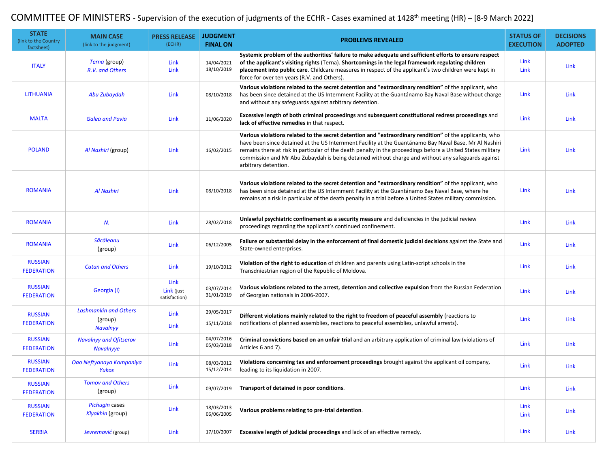## COMMITTEE OF MINISTERS - Supervision of the execution of judgments of the ECHR - Cases examined at 1428<sup>th</sup> meeting (HR) – [8-9 March 2022]

| <b>STATE</b><br>(link to the Country<br>factsheet) | <b>MAIN CASE</b><br>(link to the judgment)                 | <b>PRESS RELEASE</b><br>(ECHR)      | <b>JUDGMENT</b><br><b>FINAL ON</b> | <b>PROBLEMS REVEALED</b>                                                                                                                                                                                                                                                                                                                                                                                                                                       | <b>STATUS OF</b><br><b>EXECUTION</b> | <b>DECISIONS</b><br><b>ADOPTED</b> |
|----------------------------------------------------|------------------------------------------------------------|-------------------------------------|------------------------------------|----------------------------------------------------------------------------------------------------------------------------------------------------------------------------------------------------------------------------------------------------------------------------------------------------------------------------------------------------------------------------------------------------------------------------------------------------------------|--------------------------------------|------------------------------------|
| <b>ITALY</b>                                       | Terna (group)<br>R.V. and Others                           | Link<br>Link                        | 14/04/2021<br>18/10/2019           | Systemic problem of the authorities' failure to make adequate and sufficient efforts to ensure respect<br>of the applicant's visiting rights (Terna). Shortcomings in the legal framework regulating children<br>placement into public care. Childcare measures in respect of the applicant's two children were kept in<br>force for over ten years (R.V. and Others).                                                                                         | Link<br>Link                         | Link                               |
| <b>LITHUANIA</b>                                   | Abu Zubaydah                                               | Link                                | 08/10/2018                         | Various violations related to the secret detention and "extraordinary rendition" of the applicant, who<br>has been since detained at the US Internment Facility at the Guantánamo Bay Naval Base without charge<br>and without any safeguards against arbitrary detention.                                                                                                                                                                                     | Link                                 | Link                               |
| <b>MALTA</b>                                       | <b>Galea and Pavia</b>                                     | Link                                | 11/06/2020                         | Excessive length of both criminal proceedings and subsequent constitutional redress proceedings and<br>lack of effective remedies in that respect.                                                                                                                                                                                                                                                                                                             | Link                                 | Link                               |
| <b>POLAND</b>                                      | Al Nashiri (group)                                         | Link                                | 16/02/2015                         | Various violations related to the secret detention and "extraordinary rendition" of the applicants, who<br>have been since detained at the US Internment Facility at the Guantánamo Bay Naval Base. Mr Al Nashiri<br>remains there at risk in particular of the death penalty in the proceedings before a United States military<br>commission and Mr Abu Zubaydah is being detained without charge and without any safeguards against<br>arbitrary detention. | Link                                 | Link                               |
| <b>ROMANIA</b>                                     | Al Nashiri                                                 | Link                                | 08/10/2018                         | Various violations related to the secret detention and "extraordinary rendition" of the applicant, who<br>has been since detained at the US Internment Facility at the Guantánamo Bay Naval Base, where he<br>remains at a risk in particular of the death penalty in a trial before a United States military commission.                                                                                                                                      | Link                                 | Link                               |
| <b>ROMANIA</b>                                     | N.                                                         | <b>Link</b>                         | 28/02/2018                         | Unlawful psychiatric confinement as a security measure and deficiencies in the judicial review<br>proceedings regarding the applicant's continued confinement.                                                                                                                                                                                                                                                                                                 | Link                                 | Link                               |
| <b>ROMANIA</b>                                     | Săcăleanu<br>(group)                                       | Link                                | 06/12/2005                         | Failure or substantial delay in the enforcement of final domestic judicial decisions against the State and<br>State-owned enterprises.                                                                                                                                                                                                                                                                                                                         | Link                                 | Link                               |
| <b>RUSSIAN</b><br><b>FEDERATION</b>                | <b>Catan and Others</b>                                    | <b>Link</b>                         | 19/10/2012                         | <b>Violation of the right to education</b> of children and parents using Latin-script schools in the<br>Transdniestrian region of the Republic of Moldova.                                                                                                                                                                                                                                                                                                     | Link                                 | Link                               |
| <b>RUSSIAN</b><br><b>FEDERATION</b>                | Georgia (I)                                                | Link<br>Link (just<br>satisfaction) | 03/07/2014<br>31/01/2019           | Various violations related to the arrest, detention and collective expulsion from the Russian Federation<br>of Georgian nationals in 2006-2007.                                                                                                                                                                                                                                                                                                                | Link                                 | Link                               |
| <b>RUSSIAN</b><br><b>FEDERATION</b>                | <b>Lashmankin and Others</b><br>(group)<br><b>Navalnyy</b> | Link<br><b>Link</b>                 | 29/05/2017<br>15/11/2018           | Different violations mainly related to the right to freedom of peaceful assembly (reactions to<br>notifications of planned assemblies, reactions to peaceful assemblies, unlawful arrests).                                                                                                                                                                                                                                                                    | Link                                 | Link                               |
| <b>RUSSIAN</b><br><b>FEDERATION</b>                | <b>Navalnyy and Ofitserov</b><br><b>Navalnyye</b>          | <b>Link</b>                         | 04/07/2016<br>05/03/2018           | Criminal convictions based on an unfair trial and an arbitrary application of criminal law (violations of<br>Articles 6 and 7).                                                                                                                                                                                                                                                                                                                                | Link                                 | Link                               |
| <b>RUSSIAN</b><br><b>FEDERATION</b>                | Oao Neftyanaya Kompaniya<br>Yukos                          | Link                                | 08/03/2012<br>15/12/2014           | Violations concerning tax and enforcement proceedings brought against the applicant oil company,<br>leading to its liquidation in 2007.                                                                                                                                                                                                                                                                                                                        | Link                                 | Link                               |
| <b>RUSSIAN</b><br><b>FEDERATION</b>                | <b>Tomov and Others</b><br>(group)                         | Link                                | 09/07/2019                         | Transport of detained in poor conditions.                                                                                                                                                                                                                                                                                                                                                                                                                      | Link                                 | Link                               |
| <b>RUSSIAN</b><br><b>FEDERATION</b>                | Pichugin cases<br>Klyakhin (group)                         | Link                                | 18/03/2013<br>06/06/2005           | Various problems relating to pre-trial detention.                                                                                                                                                                                                                                                                                                                                                                                                              | Link<br>Link                         | Link                               |
| <b>SERBIA</b>                                      | Jevremović (group)                                         | Link                                | 17/10/2007                         | <b>Excessive length of judicial proceedings</b> and lack of an effective remedy.                                                                                                                                                                                                                                                                                                                                                                               | Link                                 | Link                               |